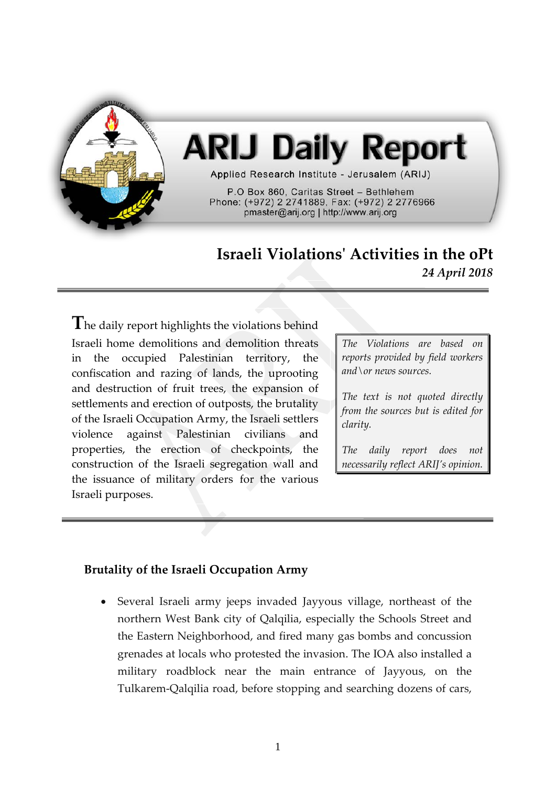

# **ARIJ Daily Report**

Applied Research Institute - Jerusalem (ARIJ)

P.O Box 860, Caritas Street - Bethlehem Phone: (+972) 2 2741889, Fax: (+972) 2 2776966 pmaster@arij.org | http://www.arij.org

# **Israeli Violations' Activities in the oPt** *24 April 2018*

**T**he daily report highlights the violations behind Israeli home demolitions and demolition threats in the occupied Palestinian territory, the confiscation and razing of lands, the uprooting and destruction of fruit trees, the expansion of settlements and erection of outposts, the brutality of the Israeli Occupation Army, the Israeli settlers violence against Palestinian civilians and properties, the erection of checkpoints, the construction of the Israeli segregation wall and the issuance of military orders for the various Israeli purposes.

*The Violations are based on reports provided by field workers and\or news sources.*

*The text is not quoted directly from the sources but is edited for clarity.*

*The daily report does not necessarily reflect ARIJ's opinion.*

### **Brutality of the Israeli Occupation Army**

• Several Israeli army jeeps invaded Jayyous village, northeast of the northern West Bank city of Qalqilia, especially the Schools Street and the Eastern Neighborhood, and fired many gas bombs and concussion grenades at locals who protested the invasion. The IOA also installed a military roadblock near the main entrance of Jayyous, on the Tulkarem-Qalqilia road, before stopping and searching dozens of cars,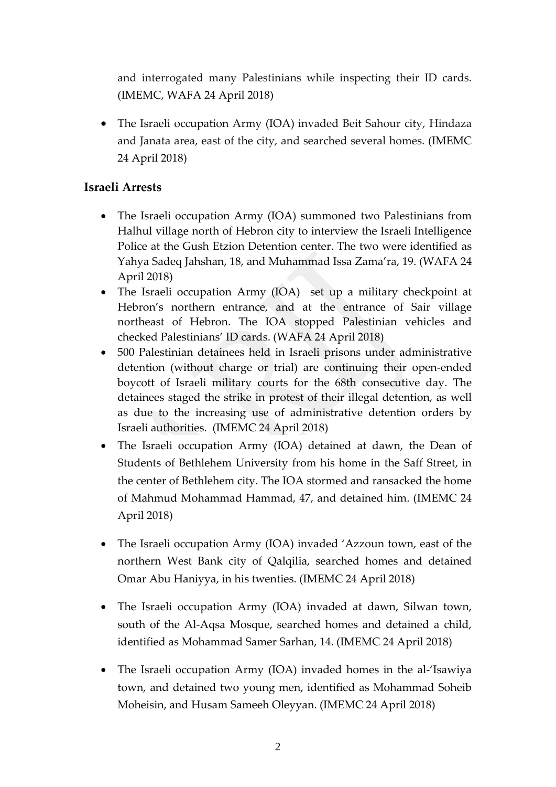and interrogated many Palestinians while inspecting their ID cards. (IMEMC, WAFA 24 April 2018)

• The Israeli occupation Army (IOA) invaded Beit Sahour city, Hindaza and Janata area, east of the city, and searched several homes. (IMEMC 24 April 2018)

## **Israeli Arrests**

- The Israeli occupation Army (IOA) summoned two Palestinians from Halhul village north of Hebron city to interview the Israeli Intelligence Police at the Gush Etzion Detention center. The two were identified as Yahya Sadeq Jahshan, 18, and Muhammad Issa Zama'ra, 19. (WAFA 24 April 2018)
- The Israeli occupation Army (IOA) set up a military checkpoint at Hebron's northern entrance, and at the entrance of Sair village northeast of Hebron. The IOA stopped Palestinian vehicles and checked Palestinians' ID cards. (WAFA 24 April 2018)
- 500 Palestinian detainees held in Israeli prisons under administrative detention (without charge or trial) are continuing their open-ended boycott of Israeli military courts for the 68th consecutive day. The detainees staged the strike in protest of their illegal detention, as well as due to the increasing use of administrative detention orders by Israeli authorities. (IMEMC 24 April 2018)
- The Israeli occupation Army (IOA) detained at dawn, the Dean of Students of Bethlehem University from his home in the Saff Street, in the center of Bethlehem city. The IOA stormed and ransacked the home of Mahmud Mohammad Hammad, 47, and detained him. (IMEMC 24 April 2018)
- The Israeli occupation Army (IOA) invaded 'Azzoun town, east of the northern West Bank city of Qalqilia, searched homes and detained Omar Abu Haniyya, in his twenties. (IMEMC 24 April 2018)
- The Israeli occupation Army (IOA) invaded at dawn, Silwan town, south of the Al-Aqsa Mosque, searched homes and detained a child, identified as Mohammad Samer Sarhan, 14. (IMEMC 24 April 2018)
- The Israeli occupation Army (IOA) invaded homes in the al-'Isawiya town, and detained two young men, identified as Mohammad Soheib Moheisin, and Husam Sameeh Oleyyan. (IMEMC 24 April 2018)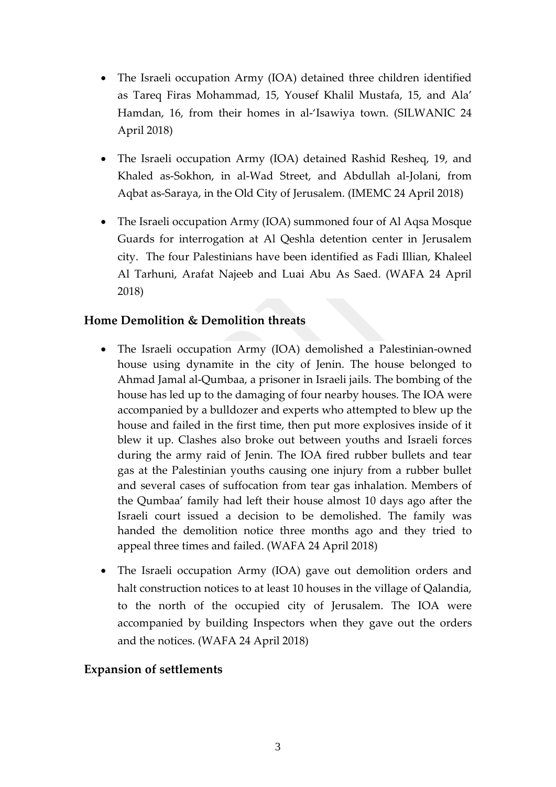- The Israeli occupation Army (IOA) detained three children identified as Tareq Firas Mohammad, 15, Yousef Khalil Mustafa, 15, and Ala' Hamdan, 16, from their homes in al-'Isawiya town. (SILWANIC 24 April 2018)
- The Israeli occupation Army (IOA) detained Rashid Resheq, 19, and Khaled as-Sokhon, in al-Wad Street, and Abdullah al-Jolani, from Aqbat as-Saraya, in the Old City of Jerusalem. (IMEMC 24 April 2018)
- The Israeli occupation Army (IOA) summoned four of Al Aqsa Mosque Guards for interrogation at Al Qeshla detention center in Jerusalem city. The four Palestinians have been identified as Fadi Illian, Khaleel Al Tarhuni, Arafat Najeeb and Luai Abu As Saed. (WAFA 24 April 2018)

#### **Home Demolition & Demolition threats**

- The Israeli occupation Army (IOA) demolished a Palestinian-owned house using dynamite in the city of Jenin. The house belonged to Ahmad Jamal al-Qumbaa, a prisoner in Israeli jails. The bombing of the house has led up to the damaging of four nearby houses. The IOA were accompanied by a bulldozer and experts who attempted to blew up the house and failed in the first time, then put more explosives inside of it blew it up. Clashes also broke out between youths and Israeli forces during the army raid of Jenin. The IOA fired rubber bullets and tear gas at the Palestinian youths causing one injury from a rubber bullet and several cases of suffocation from tear gas inhalation. Members of the Qumbaa' family had left their house almost 10 days ago after the Israeli court issued a decision to be demolished. The family was handed the demolition notice three months ago and they tried to appeal three times and failed. (WAFA 24 April 2018)
- The Israeli occupation Army (IOA) gave out demolition orders and halt construction notices to at least 10 houses in the village of Qalandia, to the north of the occupied city of Jerusalem. The IOA were accompanied by building Inspectors when they gave out the orders and the notices. (WAFA 24 April 2018)

#### **Expansion of settlements**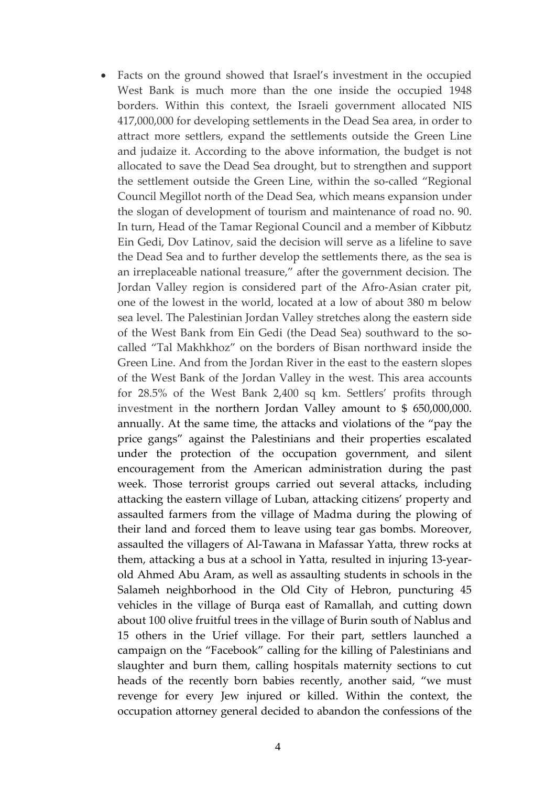• Facts on the ground showed that Israel's investment in the occupied West Bank is much more than the one inside the occupied 1948 borders. Within this context, the Israeli government allocated NIS 417,000,000 for developing settlements in the Dead Sea area, in order to attract more settlers, expand the settlements outside the Green Line and judaize it. According to the above information, the budget is not allocated to save the Dead Sea drought, but to strengthen and support the settlement outside the Green Line, within the so-called "Regional Council Megillot north of the Dead Sea, which means expansion under the slogan of development of tourism and maintenance of road no. 90. In turn, Head of the Tamar Regional Council and a member of Kibbutz Ein Gedi, Dov Latinov, said the decision will serve as a lifeline to save the Dead Sea and to further develop the settlements there, as the sea is an irreplaceable national treasure," after the government decision. The Jordan Valley region is considered part of the Afro-Asian crater pit, one of the lowest in the world, located at a low of about 380 m below sea level. The Palestinian Jordan Valley stretches along the eastern side of the West Bank from Ein Gedi (the Dead Sea) southward to the socalled "Tal Makhkhoz" on the borders of Bisan northward inside the Green Line. And from the Jordan River in the east to the eastern slopes of the West Bank of the Jordan Valley in the west. This area accounts for 28.5% of the West Bank 2,400 sq km. Settlers' profits through investment in the northern Jordan Valley amount to \$ 650,000,000. annually. At the same time, the attacks and violations of the "pay the price gangs" against the Palestinians and their properties escalated under the protection of the occupation government, and silent encouragement from the American administration during the past week. Those terrorist groups carried out several attacks, including attacking the eastern village of Luban, attacking citizens' property and assaulted farmers from the village of Madma during the plowing of their land and forced them to leave using tear gas bombs. Moreover, assaulted the villagers of Al-Tawana in Mafassar Yatta, threw rocks at them, attacking a bus at a school in Yatta, resulted in injuring 13-yearold Ahmed Abu Aram, as well as assaulting students in schools in the Salameh neighborhood in the Old City of Hebron, puncturing 45 vehicles in the village of Burqa east of Ramallah, and cutting down about 100 olive fruitful trees in the village of Burin south of Nablus and 15 others in the Urief village. For their part, settlers launched a campaign on the "Facebook" calling for the killing of Palestinians and slaughter and burn them, calling hospitals maternity sections to cut heads of the recently born babies recently, another said, "we must revenge for every Jew injured or killed. Within the context, the occupation attorney general decided to abandon the confessions of the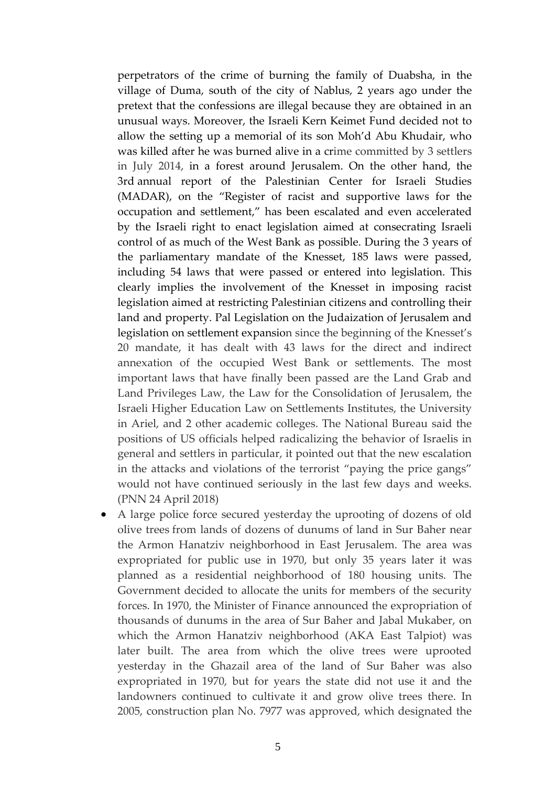perpetrators of the crime of burning the family of Duabsha, in the village of Duma, south of the city of Nablus, 2 years ago under the pretext that the confessions are illegal because they are obtained in an unusual ways. Moreover, the Israeli Kern Keimet Fund decided not to allow the setting up a memorial of its son Moh'd Abu Khudair, who was killed after he was burned alive in a crime committed by 3 settlers in July 2014, in a forest around Jerusalem. On the other hand, the 3rd annual report of the Palestinian Center for Israeli Studies (MADAR), on the "Register of racist and supportive laws for the occupation and settlement," has been escalated and even accelerated by the Israeli right to enact legislation aimed at consecrating Israeli control of as much of the West Bank as possible. During the 3 years of the parliamentary mandate of the Knesset, 185 laws were passed, including 54 laws that were passed or entered into legislation. This clearly implies the involvement of the Knesset in imposing racist legislation aimed at restricting Palestinian citizens and controlling their land and property. Pal Legislation on the Judaization of Jerusalem and legislation on settlement expansion since the beginning of the Knesset's 20 mandate, it has dealt with 43 laws for the direct and indirect annexation of the occupied West Bank or settlements. The most important laws that have finally been passed are the Land Grab and Land Privileges Law, the Law for the Consolidation of Jerusalem, the Israeli Higher Education Law on Settlements Institutes, the University in Ariel, and 2 other academic colleges. The National Bureau said the positions of US officials helped radicalizing the behavior of Israelis in general and settlers in particular, it pointed out that the new escalation in the attacks and violations of the terrorist "paying the price gangs" would not have continued seriously in the last few days and weeks. (PNN 24 April 2018)

• A large police force secured yesterday the uprooting of dozens of old olive trees from lands of dozens of dunums of land in Sur Baher near the Armon Hanatziv neighborhood in East Jerusalem. The area was expropriated for public use in 1970, but only 35 years later it was planned as a residential neighborhood of 180 housing units. The Government decided to allocate the units for members of the security forces. In 1970, the Minister of Finance announced the expropriation of thousands of dunums in the area of Sur Baher and Jabal Mukaber, on which the Armon Hanatziv neighborhood (AKA East Talpiot) was later built. The area from which the olive trees were uprooted yesterday in the Ghazail area of the land of Sur Baher was also expropriated in 1970, but for years the state did not use it and the landowners continued to cultivate it and grow olive trees there. In 2005, construction plan No. 7977 was approved, which designated the